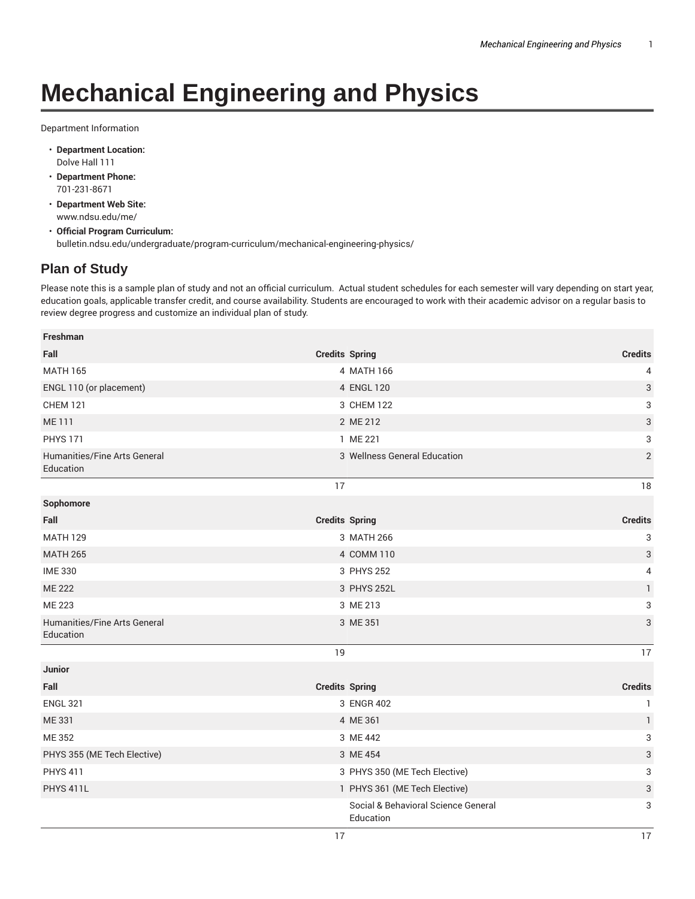## **Mechanical Engineering and Physics**

Department Information

- **Department Location:** Dolve Hall 111
- **Department Phone:** 701-231-8671
- **Department Web Site:** www.ndsu.edu/me/
- **Official Program Curriculum:** bulletin.ndsu.edu/undergraduate/program-curriculum/mechanical-engineering-physics/

## **Plan of Study**

Please note this is a sample plan of study and not an official curriculum. Actual student schedules for each semester will vary depending on start year, education goals, applicable transfer credit, and course availability. Students are encouraged to work with their academic advisor on a regular basis to review degree progress and customize an individual plan of study.

| Freshman                                  |    |                                                  |                |
|-------------------------------------------|----|--------------------------------------------------|----------------|
| Fall                                      |    | <b>Credits Spring</b>                            | <b>Credits</b> |
| <b>MATH 165</b>                           |    | 4 MATH 166                                       | 4              |
| ENGL 110 (or placement)                   |    | 4 ENGL 120                                       | 3              |
| <b>CHEM 121</b>                           |    | 3 CHEM 122                                       | 3              |
| <b>ME111</b>                              |    | 2 ME 212                                         | 3              |
| <b>PHYS 171</b>                           |    | 1 ME 221                                         | 3              |
| Humanities/Fine Arts General<br>Education |    | 3 Wellness General Education                     | $\overline{2}$ |
|                                           | 17 |                                                  | 18             |
| Sophomore                                 |    |                                                  |                |
| Fall                                      |    | <b>Credits Spring</b>                            | <b>Credits</b> |
| <b>MATH 129</b>                           |    | 3 MATH 266                                       | 3              |
| <b>MATH 265</b>                           |    | 4 COMM 110                                       | 3              |
| <b>IME 330</b>                            |    | 3 PHYS 252                                       | 4              |
| <b>ME 222</b>                             |    | 3 PHYS 252L                                      | $\mathbf{1}$   |
| <b>ME 223</b>                             |    | 3 ME 213                                         | 3              |
| Humanities/Fine Arts General<br>Education |    | 3 ME 351                                         | 3              |
|                                           | 19 |                                                  | 17             |
| Junior                                    |    |                                                  |                |
| Fall                                      |    | <b>Credits Spring</b>                            | <b>Credits</b> |
| <b>ENGL 321</b>                           |    | 3 ENGR 402                                       | $\mathbf{1}$   |
| <b>ME331</b>                              |    | 4 ME 361                                         | $\mathbf{1}$   |
| <b>ME352</b>                              |    | 3 ME 442                                         | 3              |
| PHYS 355 (ME Tech Elective)               |    | 3 ME 454                                         | 3              |
| <b>PHYS 411</b>                           |    | 3 PHYS 350 (ME Tech Elective)                    | 3              |
| PHYS 411L                                 |    | 1 PHYS 361 (ME Tech Elective)                    | 3              |
|                                           |    | Social & Behavioral Science General<br>Education | 3              |